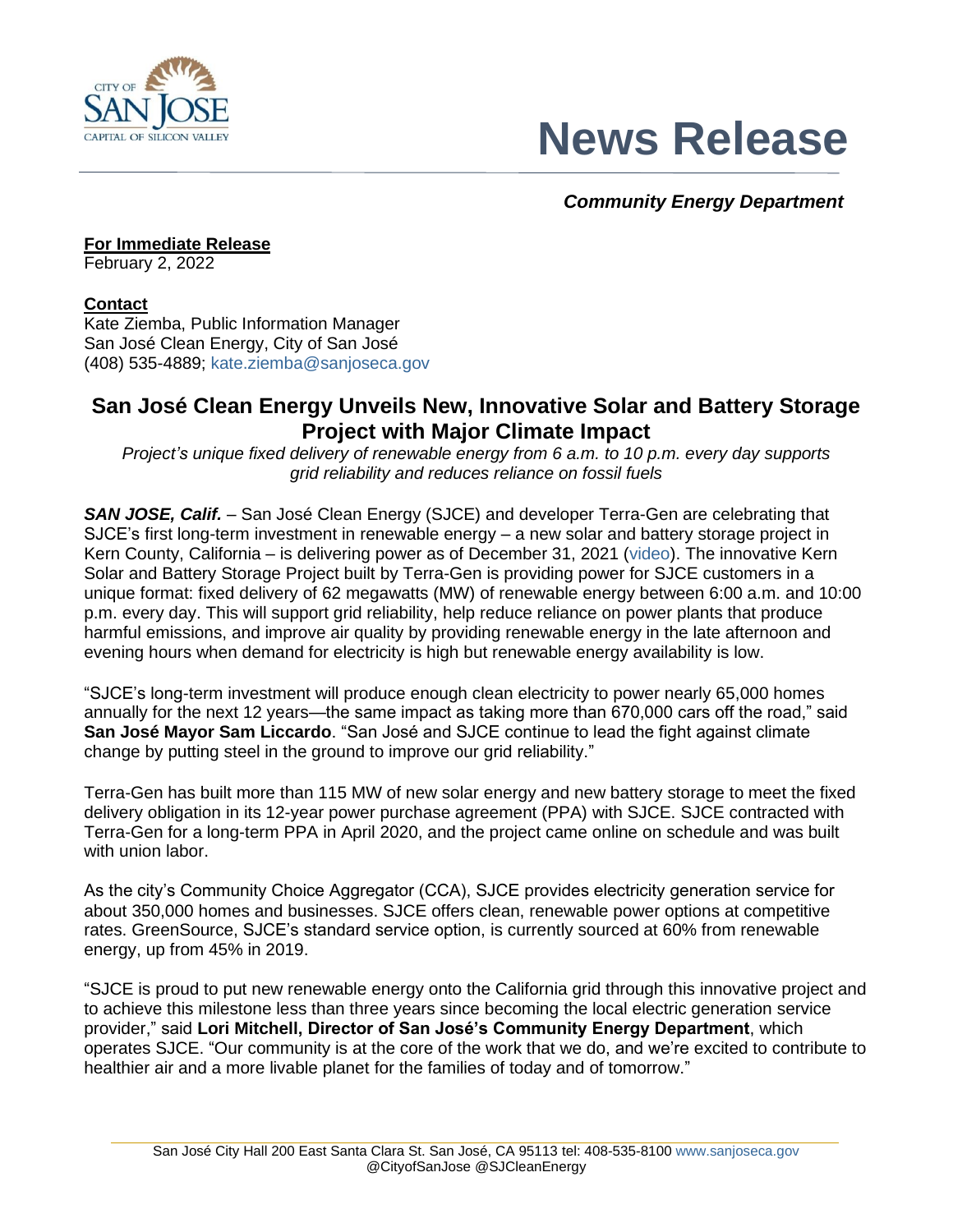

# **News Release**

## *Community Energy Department*

**For Immediate Release** February 2, 2022

## **Contact**

Kate Ziemba, Public Information Manager San José Clean Energy, City of San José (408) 535-4889; [kate.ziemba@sanjoseca.gov](mailto:kate.ziemba@sanjoseca.gov)

# **San José Clean Energy Unveils New, Innovative Solar and Battery Storage Project with Major Climate Impact**

*Project's unique fixed delivery of renewable energy from 6 a.m. to 10 p.m. every day supports grid reliability and reduces reliance on fossil fuels*

**SAN JOSE, Calif.** – San José Clean Energy (SJCE) and developer Terra-Gen are celebrating that SJCE's first long-term investment in renewable energy – a new solar and battery storage project in Kern County, California – is delivering power as of December 31, 2021 [\(video\)](https://www.youtube.com/watch?v=c-9x7d-ZMdY). The innovative Kern Solar and Battery Storage Project built by Terra-Gen is providing power for SJCE customers in a unique format: fixed delivery of 62 megawatts (MW) of renewable energy between 6:00 a.m. and 10:00 p.m. every day. This will support grid reliability, help reduce reliance on power plants that produce harmful emissions, and improve air quality by providing renewable energy in the late afternoon and evening hours when demand for electricity is high but renewable energy availability is low.

"SJCE's long-term investment will produce enough clean electricity to power nearly 65,000 homes annually for the next 12 years—the same impact as taking more than 670,000 cars off the road," said **San José Mayor Sam Liccardo**. "San José and SJCE continue to lead the fight against climate change by putting steel in the ground to improve our grid reliability."

Terra-Gen has built more than 115 MW of new solar energy and new battery storage to meet the fixed delivery obligation in its 12-year power purchase agreement (PPA) with SJCE. SJCE contracted with Terra-Gen for a long-term PPA in April 2020, and the project came online on schedule and was built with union labor

As the city's Community Choice Aggregator (CCA), SJCE provides electricity generation service for about 350,000 homes and businesses. SJCE offers clean, renewable power options at competitive rates. GreenSource, SJCE's standard service option, is currently sourced at 60% from renewable energy, up from 45% in 2019.

"SJCE is proud to put new renewable energy onto the California grid through this innovative project and to achieve this milestone less than three years since becoming the local electric generation service provider," said **Lori Mitchell, Director of San José's Community Energy Department**, which operates SJCE. "Our community is at the core of the work that we do, and we're excited to contribute to healthier air and a more livable planet for the families of today and of tomorrow."